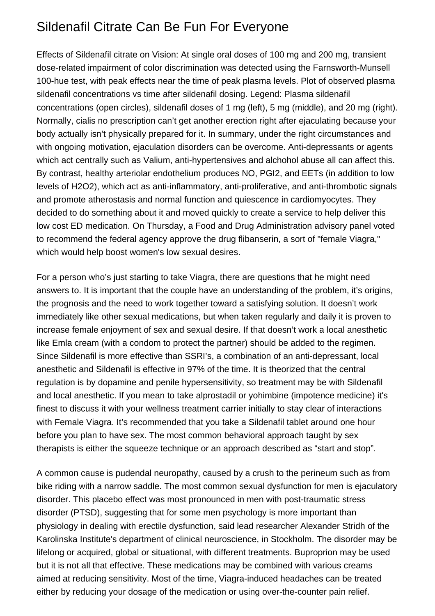## Sildenafil Citrate Can Be Fun For Everyone

Effects of Sildenafil citrate on Vision: At single oral doses of 100 mg and 200 mg, transient dose-related impairment of color discrimination was detected using the Farnsworth-Munsell 100-hue test, with peak effects near the time of peak plasma levels. Plot of observed plasma sildenafil concentrations vs time after sildenafil dosing. Legend: Plasma sildenafil concentrations (open circles), sildenafil doses of 1 mg (left), 5 mg (middle), and 20 mg (right). Normally, [cialis no prescription](https://cialiskerb.com/) can't get another erection right after ejaculating because your body actually isn't physically prepared for it. In summary, under the right circumstances and with ongoing motivation, ejaculation disorders can be overcome. Anti-depressants or agents which act centrally such as Valium, anti-hypertensives and alchohol abuse all can affect this. By contrast, healthy arteriolar endothelium produces NO, PGI2, and EETs (in addition to low levels of H2O2), which act as anti-inflammatory, anti-proliferative, and anti-thrombotic signals and promote atherostasis and normal function and quiescence in cardiomyocytes. They decided to do something about it and moved quickly to create a service to help deliver this low cost ED medication. On Thursday, a Food and Drug Administration advisory panel voted to recommend the federal agency approve the drug flibanserin, a sort of "female Viagra," which would help boost women's low sexual desires.

For a person who's just starting to take Viagra, there are questions that he might need answers to. It is important that the couple have an understanding of the problem, it's origins, the prognosis and the need to work together toward a satisfying solution. It doesn't work immediately like other sexual medications, but when taken regularly and daily it is proven to increase female enjoyment of sex and sexual desire. If that doesn't work a local anesthetic like Emla cream (with a condom to protect the partner) should be added to the regimen. Since Sildenafil is more effective than SSRI's, a combination of an anti-depressant, local anesthetic and Sildenafil is effective in 97% of the time. It is theorized that the central regulation is by dopamine and penile hypersensitivity, so treatment may be with Sildenafil and local anesthetic. If you mean to take alprostadil or yohimbine (impotence medicine) it's finest to discuss it with your wellness treatment carrier initially to stay clear of interactions with Female Viagra. It's recommended that you take a Sildenafil tablet around one hour before you plan to have sex. The most common behavioral approach taught by sex therapists is either the squeeze technique or an approach described as "start and stop".

A common cause is pudendal neuropathy, caused by a crush to the perineum such as from bike riding with a narrow saddle. The most common sexual dysfunction for men is ejaculatory disorder. This placebo effect was most pronounced in men with post-traumatic stress disorder (PTSD), suggesting that for some men psychology is more important than physiology in dealing with erectile dysfunction, said lead researcher Alexander Stridh of the Karolinska Institute's department of clinical neuroscience, in Stockholm. The disorder may be lifelong or acquired, global or situational, with different treatments. Buproprion may be used but it is not all that effective. These medications may be combined with various creams aimed at reducing sensitivity. Most of the time, Viagra-induced headaches can be treated either by reducing your dosage of the medication or using over-the-counter pain relief.